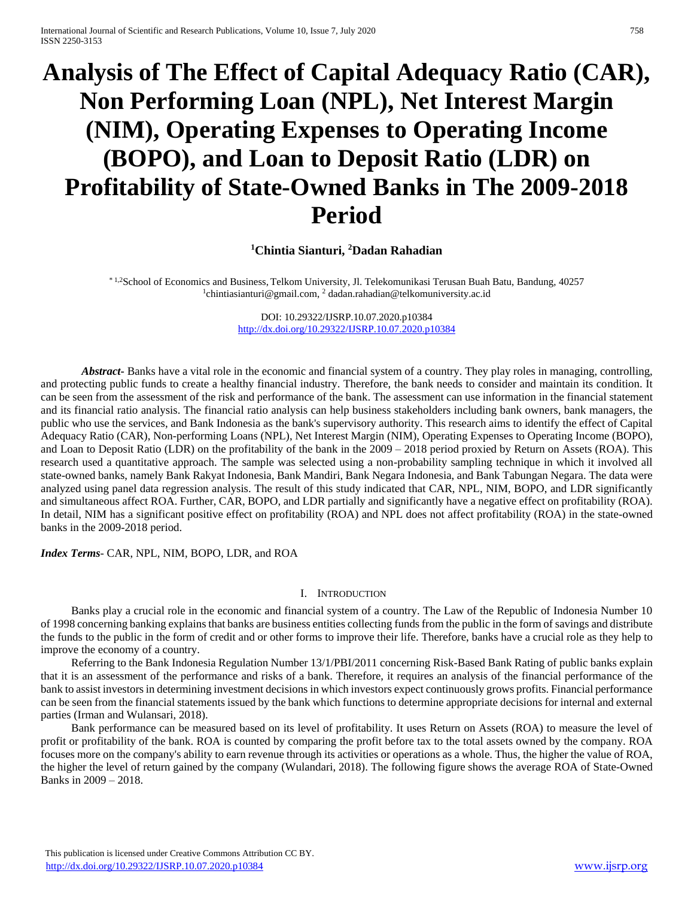# **Analysis of The Effect of Capital Adequacy Ratio (CAR), Non Performing Loan (NPL), Net Interest Margin (NIM), Operating Expenses to Operating Income (BOPO), and Loan to Deposit Ratio (LDR) on Profitability of State-Owned Banks in The 2009-2018 Period**

# **<sup>1</sup>Chintia Sianturi, <sup>2</sup>Dadan Rahadian**

\* 1,2School of Economics and Business, Telkom University, Jl. Telekomunikasi Terusan Buah Batu, Bandung, 40257 <sup>1</sup>[chintiasianturi@gmail.com,](mailto:1chintiasianturi@gmail.com) <sup>2</sup> [dadan.rahadian@telkomuniversity.ac.id](mailto:2dadan.rahadian@gmail.com)

> DOI: 10.29322/IJSRP.10.07.2020.p10384 <http://dx.doi.org/10.29322/IJSRP.10.07.2020.p10384>

*Abstract***-** Banks have a vital role in the economic and financial system of a country. They play roles in managing, controlling, and protecting public funds to create a healthy financial industry. Therefore, the bank needs to consider and maintain its condition. It can be seen from the assessment of the risk and performance of the bank. The assessment can use information in the financial statement and its financial ratio analysis. The financial ratio analysis can help business stakeholders including bank owners, bank managers, the public who use the services, and Bank Indonesia as the bank's supervisory authority. This research aims to identify the effect of Capital Adequacy Ratio (CAR), Non-performing Loans (NPL), Net Interest Margin (NIM), Operating Expenses to Operating Income (BOPO), and Loan to Deposit Ratio (LDR) on the profitability of the bank in the 2009 – 2018 period proxied by Return on Assets (ROA). This research used a quantitative approach. The sample was selected using a non-probability sampling technique in which it involved all state-owned banks, namely Bank Rakyat Indonesia, Bank Mandiri, Bank Negara Indonesia, and Bank Tabungan Negara. The data were analyzed using panel data regression analysis. The result of this study indicated that CAR, NPL, NIM, BOPO, and LDR significantly and simultaneous affect ROA. Further, CAR, BOPO, and LDR partially and significantly have a negative effect on profitability (ROA). In detail, NIM has a significant positive effect on profitability (ROA) and NPL does not affect profitability (ROA) in the state-owned banks in the 2009-2018 period.

*Index Terms*- CAR, NPL, NIM, BOPO, LDR, and ROA

#### I. INTRODUCTION

Banks play a crucial role in the economic and financial system of a country. The Law of the Republic of Indonesia Number 10 of 1998 concerning banking explains that banks are business entities collecting funds from the public in the form of savings and distribute the funds to the public in the form of credit and or other forms to improve their life. Therefore, banks have a crucial role as they help to improve the economy of a country.

Referring to the Bank Indonesia Regulation Number 13/1/PBI/2011 concerning Risk-Based Bank Rating of public banks explain that it is an assessment of the performance and risks of a bank. Therefore, it requires an analysis of the financial performance of the bank to assist investors in determining investment decisions in which investors expect continuously grows profits. Financial performance can be seen from the financial statements issued by the bank which functions to determine appropriate decisions for internal and external parties (Irman and Wulansari, 2018).

Bank performance can be measured based on its level of profitability. It uses Return on Assets (ROA) to measure the level of profit or profitability of the bank. ROA is counted by comparing the profit before tax to the total assets owned by the company. ROA focuses more on the company's ability to earn revenue through its activities or operations as a whole. Thus, the higher the value of ROA, the higher the level of return gained by the company (Wulandari, 2018). The following figure shows the average ROA of State-Owned Banks in 2009 – 2018.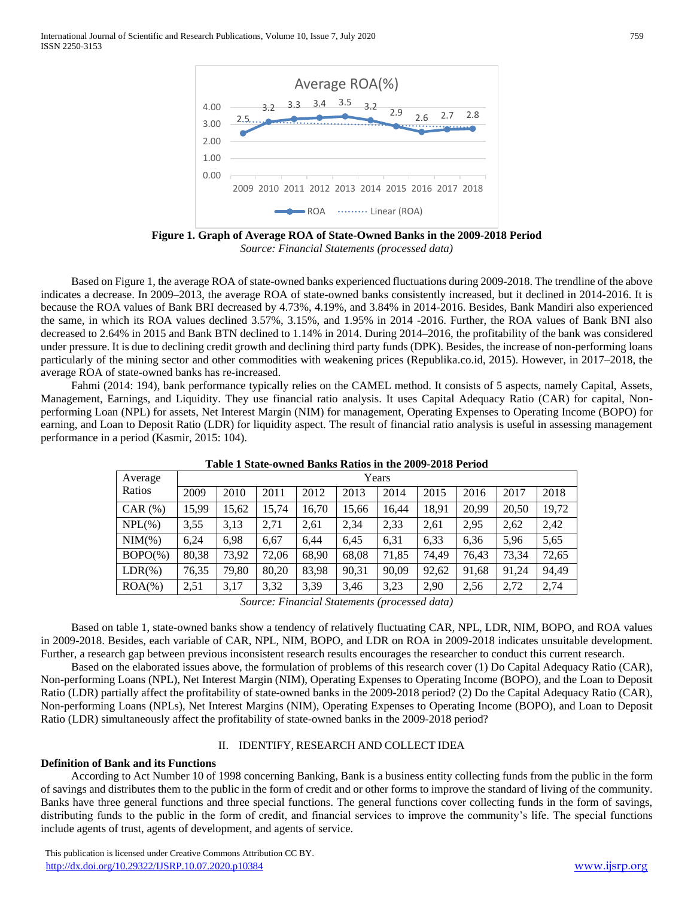

**Figure 1. Graph of Average ROA of State-Owned Banks in the 2009-2018 Period** *Source: Financial Statements (processed data)*

Based on Figure 1, the average ROA of state-owned banks experienced fluctuations during 2009-2018. The trendline of the above indicates a decrease. In 2009–2013, the average ROA of state-owned banks consistently increased, but it declined in 2014-2016. It is because the ROA values of Bank BRI decreased by 4.73%, 4.19%, and 3.84% in 2014-2016. Besides, Bank Mandiri also experienced the same, in which its ROA values declined 3.57%, 3.15%, and 1.95% in 2014 -2016. Further, the ROA values of Bank BNI also decreased to 2.64% in 2015 and Bank BTN declined to 1.14% in 2014. During 2014–2016, the profitability of the bank was considered under pressure. It is due to declining credit growth and declining third party funds (DPK). Besides, the increase of non-performing loans particularly of the mining sector and other commodities with weakening prices (Republika.co.id, 2015). However, in 2017–2018, the average ROA of state-owned banks has re-increased.

Fahmi (2014: 194), bank performance typically relies on the CAMEL method. It consists of 5 aspects, namely Capital, Assets, Management, Earnings, and Liquidity. They use financial ratio analysis. It uses Capital Adequacy Ratio (CAR) for capital, Nonperforming Loan (NPL) for assets, Net Interest Margin (NIM) for management, Operating Expenses to Operating Income (BOPO) for earning, and Loan to Deposit Ratio (LDR) for liquidity aspect. The result of financial ratio analysis is useful in assessing management performance in a period (Kasmir, 2015: 104).

| Average          |       |       |       |       |       | Years |       |       |       |       |
|------------------|-------|-------|-------|-------|-------|-------|-------|-------|-------|-------|
| Ratios           | 2009  | 2010  | 2011  | 2012  | 2013  | 2014  | 2015  | 2016  | 2017  | 2018  |
| CAR $(%)$        | 15,99 | 15,62 | 15,74 | 16,70 | 15,66 | 16,44 | 18,91 | 20,99 | 20,50 | 19,72 |
| $NPL(\% )$       | 3,55  | 3,13  | 2,71  | 2,61  | 2,34  | 2,33  | 2,61  | 2,95  | 2,62  | 2,42  |
| $\text{NIM}(\%)$ | 6.24  | 6,98  | 6,67  | 6,44  | 6,45  | 6,31  | 6,33  | 6,36  | 5,96  | 5,65  |
| $BOPO(\% )$      | 80,38 | 73,92 | 72,06 | 68,90 | 68,08 | 71,85 | 74,49 | 76,43 | 73,34 | 72,65 |
| $LDR(\%)$        | 76,35 | 79,80 | 80,20 | 83,98 | 90,31 | 90,09 | 92,62 | 91,68 | 91,24 | 94,49 |
| $ROA(\%)$        | 2,51  | 3.17  | 3,32  | 3,39  | 3,46  | 3,23  | 2,90  | 2,56  | 2,72  | 2,74  |
|                  |       |       |       |       |       |       |       |       |       |       |

**Table 1 State-owned Banks Ratios in the 2009-2018 Period**

*Source: Financial Statements (processed data)*

Based on table 1, state-owned banks show a tendency of relatively fluctuating CAR, NPL, LDR, NIM, BOPO, and ROA values in 2009-2018. Besides, each variable of CAR, NPL, NIM, BOPO, and LDR on ROA in 2009-2018 indicates unsuitable development. Further, a research gap between previous inconsistent research results encourages the researcher to conduct this current research.

Based on the elaborated issues above, the formulation of problems of this research cover (1) Do Capital Adequacy Ratio (CAR), Non-performing Loans (NPL), Net Interest Margin (NIM), Operating Expenses to Operating Income (BOPO), and the Loan to Deposit Ratio (LDR) partially affect the profitability of state-owned banks in the 2009-2018 period? (2) Do the Capital Adequacy Ratio (CAR), Non-performing Loans (NPLs), Net Interest Margins (NIM), Operating Expenses to Operating Income (BOPO), and Loan to Deposit Ratio (LDR) simultaneously affect the profitability of state-owned banks in the 2009-2018 period?

#### II. IDENTIFY, RESEARCH AND COLLECT IDEA

#### **Definition of Bank and its Functions**

According to Act Number 10 of 1998 concerning Banking, Bank is a business entity collecting funds from the public in the form of savings and distributes them to the public in the form of credit and or other forms to improve the standard of living of the community. Banks have three general functions and three special functions. The general functions cover collecting funds in the form of savings, distributing funds to the public in the form of credit, and financial services to improve the community's life. The special functions include agents of trust, agents of development, and agents of service.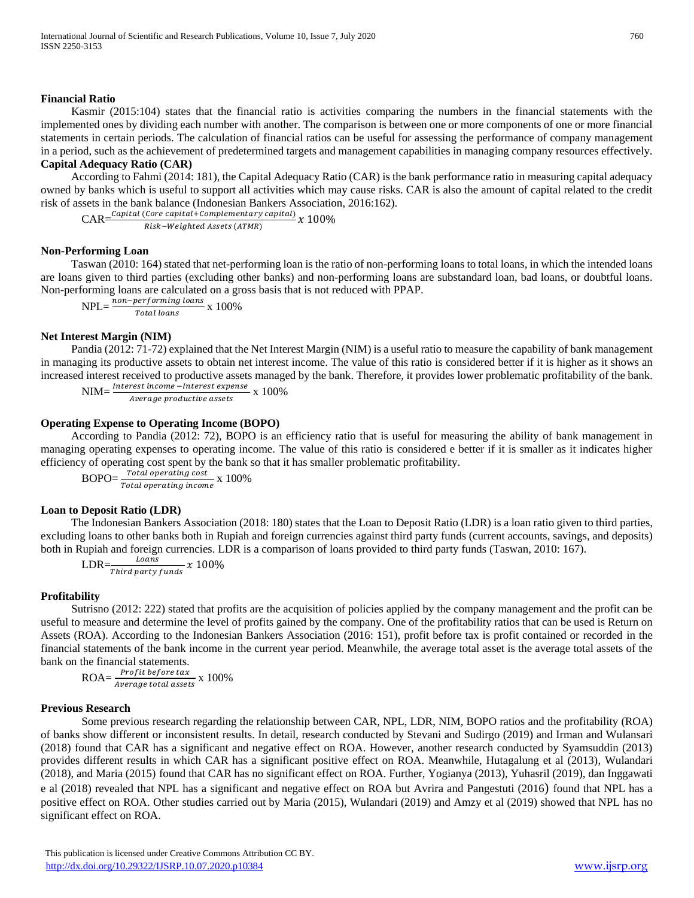## **Financial Ratio**

Kasmir (2015:104) states that the financial ratio is activities comparing the numbers in the financial statements with the implemented ones by dividing each number with another. The comparison is between one or more components of one or more financial statements in certain periods. The calculation of financial ratios can be useful for assessing the performance of company management in a period, such as the achievement of predetermined targets and management capabilities in managing company resources effectively. **Capital Adequacy Ratio (CAR)**

## According to Fahmi (2014: 181), the Capital Adequacy Ratio (CAR) is the bank performance ratio in measuring capital adequacy owned by banks which is useful to support all activities which may cause risks. CAR is also the amount of capital related to the credit risk of assets in the bank balance (Indonesian Bankers Association, 2016:162).

 $CAR = \frac{Capital (Core\ capital + Complementary\ capital)}{child\ local\ } x\ 100\%$ Risk-Weighted Assets (ATMR)

# **Non-Performing Loan**

Taswan (2010: 164) stated that net-performing loan is the ratio of non-performing loans to total loans, in which the intended loans are loans given to third parties (excluding other banks) and non-performing loans are substandard loan, bad loans, or doubtful loans. Non-performing loans are calculated on a gross basis that is not reduced with PPAP.

 $NPL = \frac{non-performing\,loans}{T_{total\,low}} \times 100\%$ Total loans

# **Net Interest Margin (NIM)**

Pandia (2012: 71-72) explained that the Net Interest Margin (NIM) is a useful ratio to measure the capability of bank management in managing its productive assets to obtain net interest income. The value of this ratio is considered better if it is higher as it shows an increased interest received to productive assets managed by the bank. Therefore, it provides lower problematic profitability of the bank.

 $NIM = \frac{Interest\ income -Interest\ expense}{t^2} \times 100\%$ Average productive assets

# **Operating Expense to Operating Income (BOPO)**

According to Pandia (2012: 72), BOPO is an efficiency ratio that is useful for measuring the ability of bank management in managing operating expenses to operating income. The value of this ratio is considered e better if it is smaller as it indicates higher efficiency of operating cost spent by the bank so that it has smaller problematic profitability.

 $\text{BOPO} = \frac{\text{Total operating cost}}{\text{Total operating income}} \times 100\%$ 

# **Loan to Deposit Ratio (LDR)**

The Indonesian Bankers Association (2018: 180) states that the Loan to Deposit Ratio (LDR) is a loan ratio given to third parties, excluding loans to other banks both in Rupiah and foreign currencies against third party funds (current accounts, savings, and deposits) both in Rupiah and foreign currencies. LDR is a comparison of loans provided to third party funds (Taswan, 2010: 167).

$$
LDR = \frac{Loans}{Third\ party\ funds} x\ 100\%
$$

#### **Profitability**

Sutrisno (2012: 222) stated that profits are the acquisition of policies applied by the company management and the profit can be useful to measure and determine the level of profits gained by the company. One of the profitability ratios that can be used is Return on Assets (ROA). According to the Indonesian Bankers Association (2016: 151), profit before tax is profit contained or recorded in the financial statements of the bank income in the current year period. Meanwhile, the average total asset is the average total assets of the bank on the financial statements.

 $\text{ROA} = \frac{\text{Profit before tax}}{\text{Average total assets}} \times 100\%$ 

#### **Previous Research**

Some previous research regarding the relationship between CAR, NPL, LDR, NIM, BOPO ratios and the profitability (ROA) of banks show different or inconsistent results. In detail, research conducted by Stevani and Sudirgo (2019) and Irman and Wulansari (2018) found that CAR has a significant and negative effect on ROA. However, another research conducted by Syamsuddin (2013) provides different results in which CAR has a significant positive effect on ROA. Meanwhile, Hutagalung et al (2013), Wulandari (2018), and Maria (2015) found that CAR has no significant effect on ROA. Further, Yogianya (2013), Yuhasril (2019), dan Inggawati e al (2018) revealed that NPL has a significant and negative effect on ROA but Avrira and Pangestuti (2016) found that NPL has a positive effect on ROA. Other studies carried out by Maria (2015), Wulandari (2019) and Amzy et al (2019) showed that NPL has no significant effect on ROA.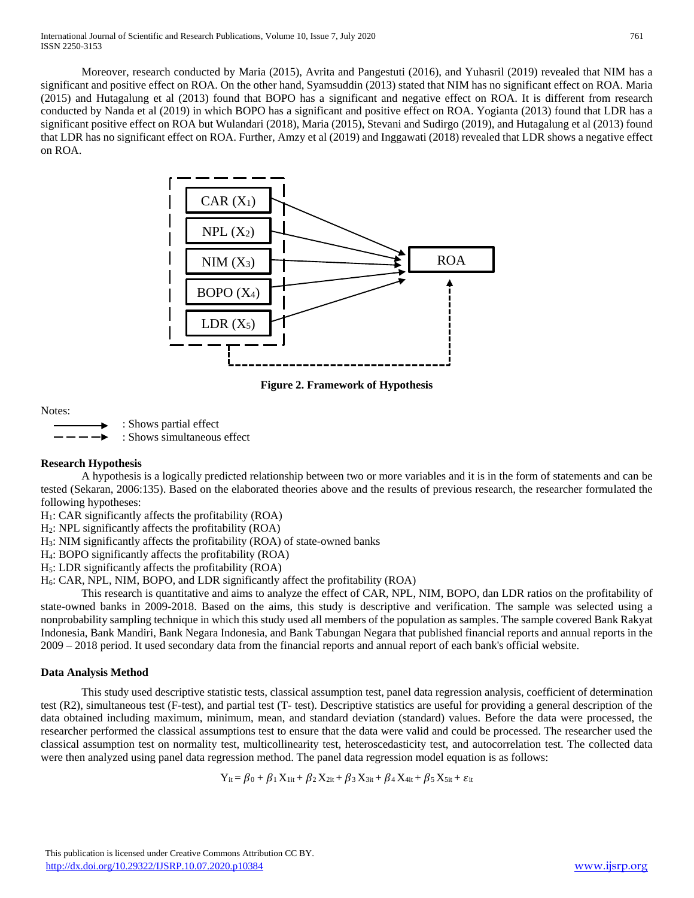Moreover, research conducted by Maria (2015), Avrita and Pangestuti (2016), and Yuhasril (2019) revealed that NIM has a significant and positive effect on ROA. On the other hand, Syamsuddin (2013) stated that NIM has no significant effect on ROA. Maria (2015) and Hutagalung et al (2013) found that BOPO has a significant and negative effect on ROA. It is different from research conducted by Nanda et al (2019) in which BOPO has a significant and positive effect on ROA. Yogianta (2013) found that LDR has a significant positive effect on ROA but Wulandari (2018), Maria (2015), Stevani and Sudirgo (2019), and Hutagalung et al (2013) found that LDR has no significant effect on ROA. Further, Amzy et al (2019) and Inggawati (2018) revealed that LDR shows a negative effect on ROA.



**Figure 2. Framework of Hypothesis** 

Notes:

: Shows partial effect : Shows simultaneous effect

#### **Research Hypothesis**

A hypothesis is a logically predicted relationship between two or more variables and it is in the form of statements and can be tested (Sekaran, 2006:135). Based on the elaborated theories above and the results of previous research, the researcher formulated the following hypotheses:

 $H<sub>1</sub>$ : CAR significantly affects the profitability (ROA)

H2: NPL significantly affects the profitability (ROA)

H3: NIM significantly affects the profitability (ROA) of state-owned banks

H4: BOPO significantly affects the profitability (ROA)

H5: LDR significantly affects the profitability (ROA)

H6: CAR, NPL, NIM, BOPO, and LDR significantly affect the profitability (ROA)

This research is quantitative and aims to analyze the effect of CAR, NPL, NIM, BOPO, dan LDR ratios on the profitability of state-owned banks in 2009-2018. Based on the aims, this study is descriptive and verification. The sample was selected using a nonprobability sampling technique in which this study used all members of the population as samples. The sample covered Bank Rakyat Indonesia, Bank Mandiri, Bank Negara Indonesia, and Bank Tabungan Negara that published financial reports and annual reports in the 2009 – 2018 period. It used secondary data from the financial reports and annual report of each bank's official website.

# **Data Analysis Method**

This study used descriptive statistic tests, classical assumption test, panel data regression analysis, coefficient of determination test (R2), simultaneous test (F-test), and partial test (T- test). Descriptive statistics are useful for providing a general description of the data obtained including maximum, minimum, mean, and standard deviation (standard) values. Before the data were processed, the researcher performed the classical assumptions test to ensure that the data were valid and could be processed. The researcher used the classical assumption test on normality test, multicollinearity test, heteroscedasticity test, and autocorrelation test. The collected data were then analyzed using panel data regression method. The panel data regression model equation is as follows:

 $Y_{it} = \beta_0 + \beta_1 X_{1it} + \beta_2 X_{2it} + \beta_3 X_{3it} + \beta_4 X_{4it} + \beta_5 X_{5it} + \varepsilon_{it}$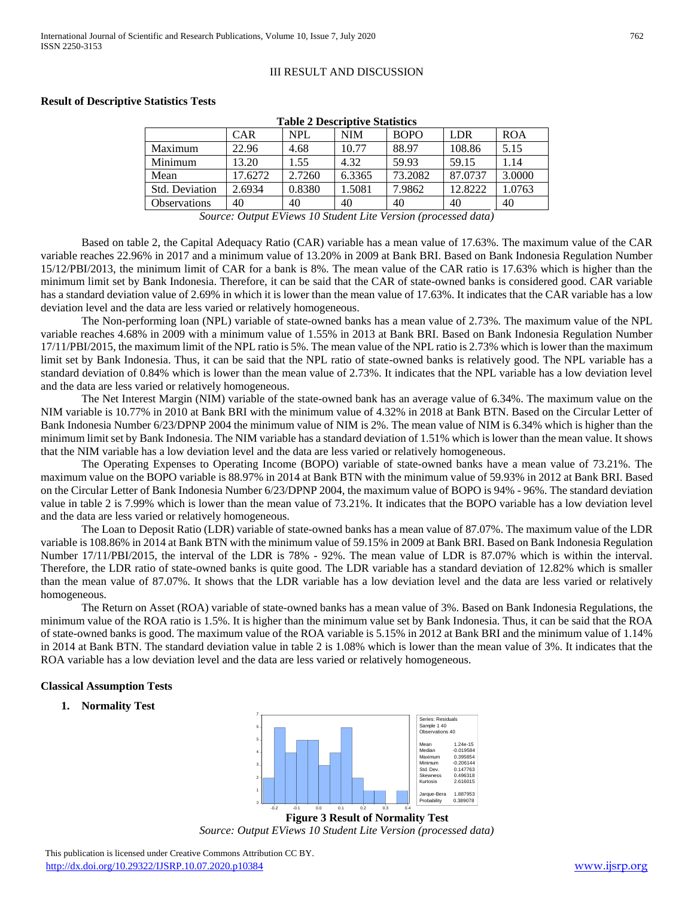# III RESULT AND DISCUSSION

#### **Result of Descriptive Statistics Tests**

| <b>CAR</b> | <b>NPL</b> | <b>NIM</b> | <b>BOPO</b> | <b>LDR</b> | <b>ROA</b> |
|------------|------------|------------|-------------|------------|------------|
| 22.96      | 4.68       | 10.77      | 88.97       | 108.86     | 5.15       |
| 13.20      | 1.55       | 4.32       | 59.93       | 59.15      | 1.14       |
| 17.6272    | 2.7260     | 6.3365     | 73.2082     | 87,0737    | 3.0000     |
| 2.6934     | 0.8380     | 1.5081     | 7.9862      | 12.8222    | 1.0763     |
| 40         | 40         | 40         | 40          | 40         | 40         |
|            |            |            |             |            |            |

**Table 2 Descriptive Statistics**

*Source: Output EViews 10 Student Lite Version (processed data)*

Based on table 2, the Capital Adequacy Ratio (CAR) variable has a mean value of 17.63%. The maximum value of the CAR variable reaches 22.96% in 2017 and a minimum value of 13.20% in 2009 at Bank BRI. Based on Bank Indonesia Regulation Number 15/12/PBI/2013, the minimum limit of CAR for a bank is 8%. The mean value of the CAR ratio is 17.63% which is higher than the minimum limit set by Bank Indonesia. Therefore, it can be said that the CAR of state-owned banks is considered good. CAR variable has a standard deviation value of 2.69% in which it is lower than the mean value of 17.63%. It indicates that the CAR variable has a low deviation level and the data are less varied or relatively homogeneous.

The Non-performing loan (NPL) variable of state-owned banks has a mean value of 2.73%. The maximum value of the NPL variable reaches 4.68% in 2009 with a minimum value of 1.55% in 2013 at Bank BRI. Based on Bank Indonesia Regulation Number 17/11/PBI/2015, the maximum limit of the NPL ratio is 5%. The mean value of the NPL ratio is 2.73% which is lower than the maximum limit set by Bank Indonesia. Thus, it can be said that the NPL ratio of state-owned banks is relatively good. The NPL variable has a standard deviation of 0.84% which is lower than the mean value of 2.73%. It indicates that the NPL variable has a low deviation level and the data are less varied or relatively homogeneous.

The Net Interest Margin (NIM) variable of the state-owned bank has an average value of 6.34%. The maximum value on the NIM variable is 10.77% in 2010 at Bank BRI with the minimum value of 4.32% in 2018 at Bank BTN. Based on the Circular Letter of Bank Indonesia Number 6/23/DPNP 2004 the minimum value of NIM is 2%. The mean value of NIM is 6.34% which is higher than the minimum limit set by Bank Indonesia. The NIM variable has a standard deviation of 1.51% which is lower than the mean value. It shows that the NIM variable has a low deviation level and the data are less varied or relatively homogeneous.

The Operating Expenses to Operating Income (BOPO) variable of state-owned banks have a mean value of 73.21%. The maximum value on the BOPO variable is 88.97% in 2014 at Bank BTN with the minimum value of 59.93% in 2012 at Bank BRI. Based on the Circular Letter of Bank Indonesia Number 6/23/DPNP 2004, the maximum value of BOPO is 94% - 96%. The standard deviation value in table 2 is 7.99% which is lower than the mean value of 73.21%. It indicates that the BOPO variable has a low deviation level and the data are less varied or relatively homogeneous.

The Loan to Deposit Ratio (LDR) variable of state-owned banks has a mean value of 87.07%. The maximum value of the LDR variable is 108.86% in 2014 at Bank BTN with the minimum value of 59.15% in 2009 at Bank BRI. Based on Bank Indonesia Regulation Number 17/11/PBI/2015, the interval of the LDR is 78% - 92%. The mean value of LDR is 87.07% which is within the interval. Therefore, the LDR ratio of state-owned banks is quite good. The LDR variable has a standard deviation of 12.82% which is smaller than the mean value of 87.07%. It shows that the LDR variable has a low deviation level and the data are less varied or relatively homogeneous.

The Return on Asset (ROA) variable of state-owned banks has a mean value of 3%. Based on Bank Indonesia Regulations, the minimum value of the ROA ratio is 1.5%. It is higher than the minimum value set by Bank Indonesia. Thus, it can be said that the ROA of state-owned banks is good. The maximum value of the ROA variable is 5.15% in 2012 at Bank BRI and the minimum value of 1.14% in 2014 at Bank BTN. The standard deviation value in table 2 is 1.08% which is lower than the mean value of 3%. It indicates that the ROA variable has a low deviation level and the data are less varied or relatively homogeneous.

# **Classical Assumption Tests**

**1. Normality Test** 



**Figure 3 Result of Normality Test**

*Source: Output EViews 10 Student Lite Version (processed data)*

 This publication is licensed under Creative Commons Attribution CC BY. <http://dx.doi.org/10.29322/IJSRP.10.07.2020.p10384> [www.ijsrp.org](http://ijsrp.org/)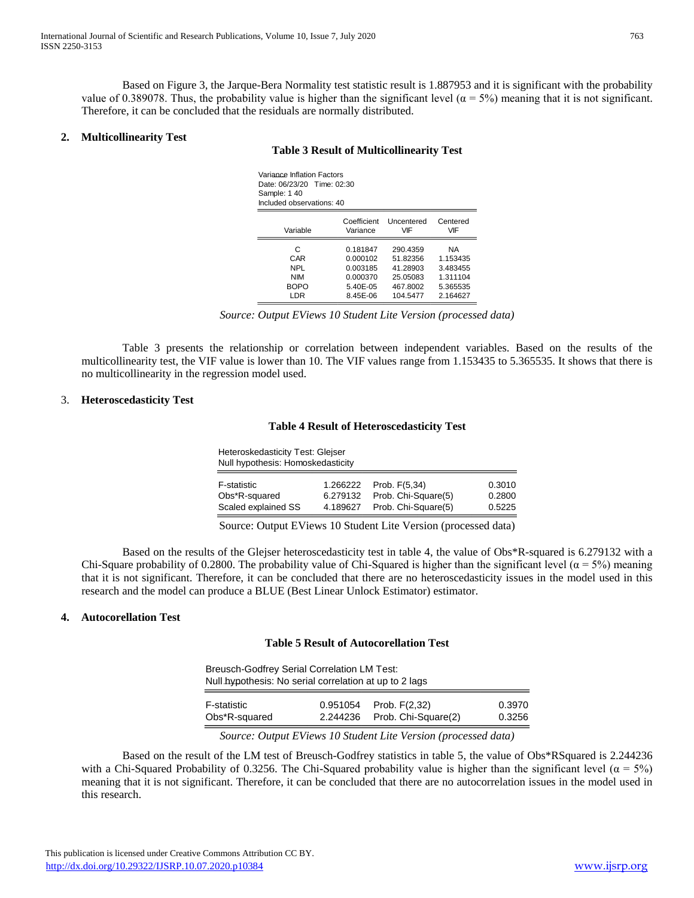Based on Figure 3, the Jarque-Bera Normality test statistic result is 1.887953 and it is significant with the probability value of 0.389078. Thus, the probability value is higher than the significant level ( $\alpha = 5\%$ ) meaning that it is not significant. Therefore, it can be concluded that the residuals are normally distributed.

## **2. Multicollinearity Test**

# **Table 3 Result of Multicollinearity Test**

| Variance Inflation Factors<br>Date: 06/23/20 Time: 02:30<br>Sample: 1 40<br>Included observations: 40 |                         |                      |                 |
|-------------------------------------------------------------------------------------------------------|-------------------------|----------------------|-----------------|
| Variable                                                                                              | Coefficient<br>Variance | Uncentered<br>VIF    | Centered<br>VIF |
| С<br>CAR                                                                                              | 0.181847<br>0.000102    | 290.4359<br>51.82356 | ΝA<br>1.153435  |
| NPL                                                                                                   | 0.003185                | 41.28903             | 3.483455        |
| <b>NIM</b>                                                                                            | 0.000370                | 25.05083             | 1.311104        |
| <b>BOPO</b>                                                                                           | 5.40E-05                | 467.8002             | 5.365535        |

*Source: Output EViews 10 Student Lite Version (processed data)*

LDR 8.45E-06 104.5477 2.164627

Table 3 presents the relationship or correlation between independent variables. Based on the results of the multicollinearity test, the VIF value is lower than 10. The VIF values range from 1.153435 to 5.365535. It shows that there is no multicollinearity in the regression model used.

#### 3. **Heteroscedasticity Test**

#### **Table 4 Result of Heteroscedasticity Test**

Heteroskedasticity Test: Glejser Null hypothesis: Homoskedasticity

| F-statistic         | 1.266222 | Prob. F(5.34)       | 0.3010 |
|---------------------|----------|---------------------|--------|
| Obs*R-squared       | 6.279132 | Prob. Chi-Square(5) | 0.2800 |
| Scaled explained SS | 4.189627 | Prob. Chi-Square(5) | 0.5225 |
|                     |          |                     |        |

Source: Output EViews 10 Student Lite Version (processed data)

Based on the results of the Glejser heteroscedasticity test in table 4, the value of Obs\*R-squared is 6.279132 with a Chi-Square probability of 0.2800. The probability value of Chi-Squared is higher than the significant level ( $\alpha$  = 5%) meaning that it is not significant. Therefore, it can be concluded that there are no heteroscedasticity issues in the model used in this research and the model can produce a BLUE (Best Linear Unlock Estimator) estimator. Junce a  $\text{DLOE}$  (Dest L

# **4. Autocorellation Test**

#### **Table 5 Result of Autocorellation Test** CAR 0.003901 0.004955 0.787330 0.4365

| <b>Breusch-Godfrey Serial Correlation LM Test:</b><br>Null hypothesis: No serial correlation at up to 2 lags |                              |        |
|--------------------------------------------------------------------------------------------------------------|------------------------------|--------|
| F-statistic                                                                                                  | $0.951054$ Prob. $F(2.32)$   | 0.3970 |
| Obs*R-squared                                                                                                | 2.244236 Prob. Chi-Square(2) | 0.3256 |

*<u>Source: Output EViews 10 Student Lite Version (processed data)</u>* Source: Output Eviews 10 Student Lite Version (processed data)

Based on the result of the LM test of Breusch-Godfrey statistics in table 5, the value of Obs\*RSquared is 2.244236 with a Chi-Squared Probability of 0.3256. The Chi-Squared probability value is higher than the significant level ( $\alpha = 5\%$ ) meaning that it is not significant. Therefore, it can be concluded that there are no autocorrelation issues in the model used in this research. It of the LM test of Breusch-Godfrey statistics in table 5, the value  $P$  and  $P$  and  $P$  and  $P$  and  $P$  and  $P$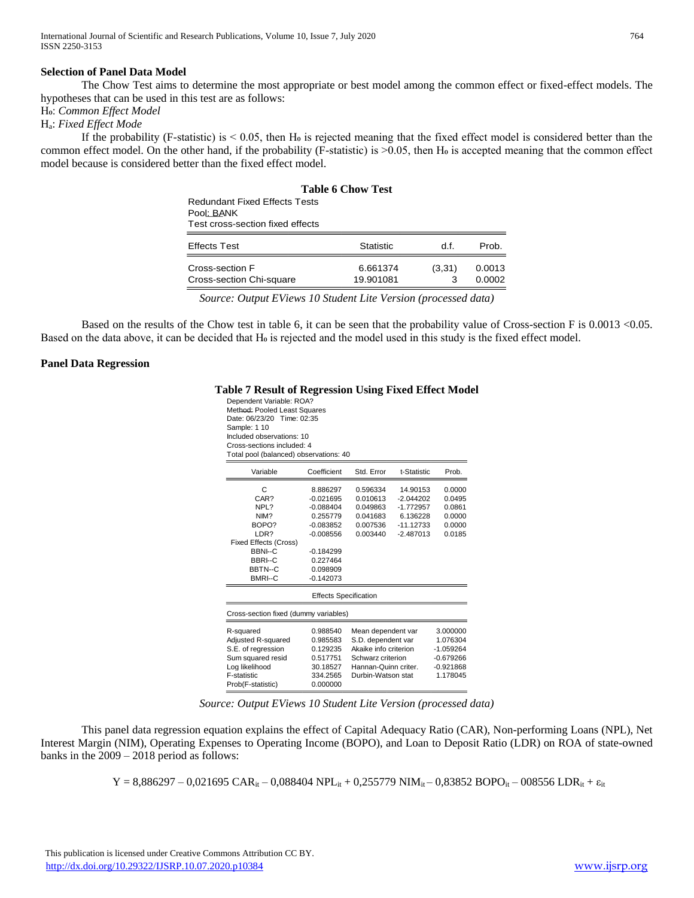# **Selection of Panel Data Model**

The Chow Test aims to determine the most appropriate or best model among the common effect or fixed-effect models. The hypotheses that can be used in this test are as follows:

Ho: Common Effect Model

Ha: *Fixed Effect Mode*

If the probability (F-statistic) is  $< 0.05$ , then H<sub>0</sub> is rejected meaning that the fixed effect model is considered better than the common effect model. On the other hand, if the probability (F-statistic) is  $>0.05$ , then H $\sigma$  is accepted meaning that the common effect model because is considered better than the fixed effect model.

|                                                                                        | <b>Table 6 Chow Test</b> |             |                  |
|----------------------------------------------------------------------------------------|--------------------------|-------------|------------------|
| <b>Redundant Fixed Fffects Tests</b><br>Pool: BANK<br>Test cross-section fixed effects |                          |             |                  |
| <b>Effects Test</b>                                                                    | <b>Statistic</b>         | d f.        | Prob.            |
| Cross-section F<br>Cross-section Chi-square                                            | 6.661374<br>19.901081    | (3,31)<br>3 | 0.0013<br>0.0002 |

*Source: Output EViews 10 Student Lite Version (processed data)*

Based on the results of the Chow test in table 6, it can be seen that the probability value of Cross-section F is 0.0013 < 0.05. Based on the data above, it can be decided that H<sub>0</sub> is rejected and the model used in this study is the fixed effect model.  $\mathcal{Q}$ 

#### **Panel Data Regression**

#### **Table 7 Result of Regression Using Fixed Effect Model** Table 7 Result of Regression

| Cross-sections included: 4<br>Total pool (balanced) observations: 40 |                              |                       |             |             |
|----------------------------------------------------------------------|------------------------------|-----------------------|-------------|-------------|
|                                                                      |                              |                       |             |             |
| Variable                                                             | Coefficient                  | Std. Error            | t-Statistic | Prob.       |
| С                                                                    | 8.886297                     | 0.596334              | 14.90153    | 0.0000      |
| CAR?                                                                 | $-0.021695$                  | 0.010613              | $-2.044202$ | 0.0495      |
| NPL?                                                                 | $-0.088404$                  | 0.049863              | $-1.772957$ | 0.0861      |
| NIM?                                                                 | 0.255779                     | 0.041683              | 6.136228    | 0.0000      |
| BOPO?                                                                | $-0.083852$                  | 0.007536              | $-11.12733$ | 0.0000      |
| LDR?                                                                 | $-0.008556$                  | 0.003440              | $-2.487013$ | 0.0185      |
| <b>Fixed Effects (Cross)</b>                                         |                              |                       |             |             |
| <b>BBNI--C</b>                                                       | $-0.184299$                  |                       |             |             |
| <b>BBRI--C</b><br>BBTN--C                                            | 0.227464<br>0.098909         |                       |             |             |
| <b>BMRI--C</b>                                                       | $-0.142073$                  |                       |             |             |
|                                                                      | <b>Effects Specification</b> |                       |             |             |
| Cross-section fixed (dummy variables)                                |                              |                       |             |             |
| R-squared                                                            | 0.988540                     | Mean dependent var    |             | 3.000000    |
| Adjusted R-squared                                                   | 0.985583                     | S.D. dependent var    |             | 1.076304    |
| S.E. of rearession                                                   | 0.129235                     | Akaike info criterion |             | $-1.059264$ |
| Sum squared resid                                                    | 0.517751                     | Schwarz criterion     |             | $-0.679266$ |
|                                                                      |                              |                       |             |             |
| Log likelihood                                                       | 30.18527                     | Hannan-Quinn criter.  |             | $-0.921868$ |
| F-statistic                                                          | 334.2565                     | Durbin-Watson stat    |             | 1.178045    |

*Source: Output EViews 10 Student Lite Version (processed data)*

This panel data regression equation explains the effect of Capital Adequacy Ratio (CAR), Non-performing Loans (NPL), Net Interest Margin (NIM), Operating Expenses to Operating Income (BOPO), and Loan to Deposit Ratio (LDR) on ROA of state-owned banks in the 2009 – 2018 period as follows:

 $Y = 8,886297 - 0,021695 \text{ CAR}_{it} - 0,088404 \text{ NPL}_{it} + 0,255779 \text{ NIM}_{it} - 0,83852 \text{ BOPO}_{it} - 008556 \text{ LDR}_{it} + \epsilon_{it}$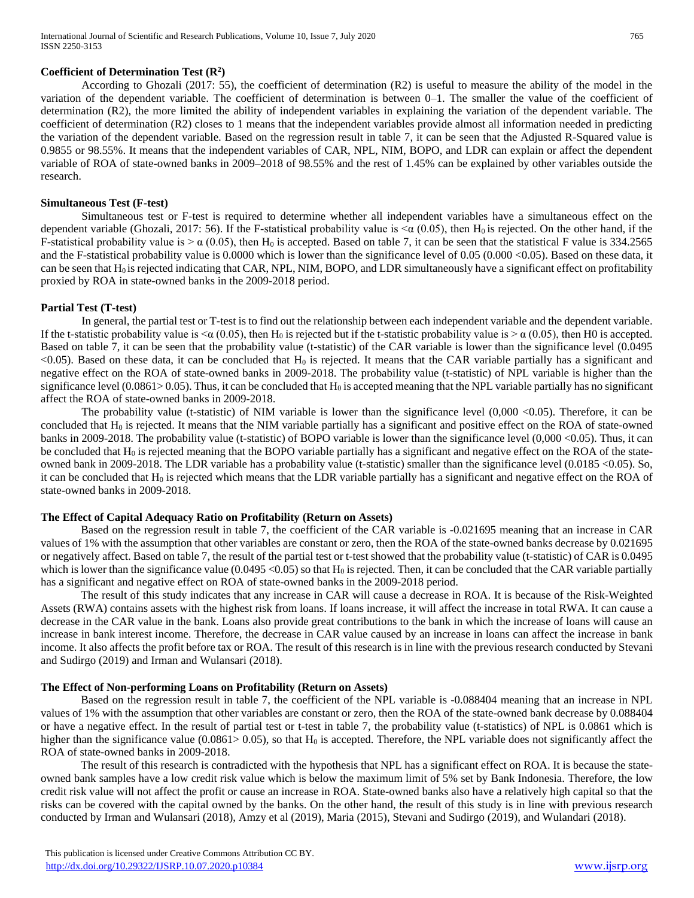## **Coefficient of Determination Test (R<sup>2</sup> )**

According to Ghozali (2017: 55), the coefficient of determination (R2) is useful to measure the ability of the model in the variation of the dependent variable. The coefficient of determination is between 0–1. The smaller the value of the coefficient of determination (R2), the more limited the ability of independent variables in explaining the variation of the dependent variable. The coefficient of determination (R2) closes to 1 means that the independent variables provide almost all information needed in predicting the variation of the dependent variable. Based on the regression result in table 7, it can be seen that the Adjusted R-Squared value is 0.9855 or 98.55%. It means that the independent variables of CAR, NPL, NIM, BOPO, and LDR can explain or affect the dependent variable of ROA of state-owned banks in 2009–2018 of 98.55% and the rest of 1.45% can be explained by other variables outside the research.

#### **Simultaneous Test (F-test)**

Simultaneous test or F-test is required to determine whether all independent variables have a simultaneous effect on the dependent variable (Ghozali, 2017: 56). If the F-statistical probability value is  $\alpha$  (0.05), then H<sub>0</sub> is rejected. On the other hand, if the F-statistical probability value is  $> \alpha$  (0.05), then H<sub>0</sub> is accepted. Based on table 7, it can be seen that the statistical F value is 334.2565 and the F-statistical probability value is 0.0000 which is lower than the significance level of 0.05 (0.000 <0.05). Based on these data, it can be seen that H<sub>0</sub> is rejected indicating that CAR, NPL, NIM, BOPO, and LDR simultaneously have a significant effect on profitability proxied by ROA in state-owned banks in the 2009-2018 period.

# **Partial Test (T-test)**

In general, the partial test or T-test is to find out the relationship between each independent variable and the dependent variable. If the t-statistic probability value is  $\alpha$  (0.05), then H<sub>0</sub> is rejected but if the t-statistic probability value is  $\alpha$  (0.05), then H0 is accepted. Based on table 7, it can be seen that the probability value (t-statistic) of the CAR variable is lower than the significance level (0.0495  $<$ 0.05). Based on these data, it can be concluded that H<sub>0</sub> is rejected. It means that the CAR variable partially has a significant and negative effect on the ROA of state-owned banks in 2009-2018. The probability value (t-statistic) of NPL variable is higher than the significance level (0.0861>0.05). Thus, it can be concluded that  $H_0$  is accepted meaning that the NPL variable partially has no significant affect the ROA of state-owned banks in 2009-2018.

The probability value (t-statistic) of NIM variable is lower than the significance level  $(0,000 < 0.05)$ . Therefore, it can be concluded that  $H_0$  is rejected. It means that the NIM variable partially has a significant and positive effect on the ROA of state-owned banks in 2009-2018. The probability value (t-statistic) of BOPO variable is lower than the significance level (0,000 <0.05). Thus, it can be concluded that  $H_0$  is rejected meaning that the BOPO variable partially has a significant and negative effect on the ROA of the stateowned bank in 2009-2018. The LDR variable has a probability value (t-statistic) smaller than the significance level (0.0185 <0.05). So, it can be concluded that  $H_0$  is rejected which means that the LDR variable partially has a significant and negative effect on the ROA of state-owned banks in 2009-2018.

# **The Effect of Capital Adequacy Ratio on Profitability (Return on Assets)**

Based on the regression result in table 7, the coefficient of the CAR variable is -0.021695 meaning that an increase in CAR values of 1% with the assumption that other variables are constant or zero, then the ROA of the state-owned banks decrease by 0.021695 or negatively affect. Based on table 7, the result of the partial test or t-test showed that the probability value (t-statistic) of CAR is 0.0495 which is lower than the significance value (0.0495 < 0.05) so that  $H_0$  is rejected. Then, it can be concluded that the CAR variable partially has a significant and negative effect on ROA of state-owned banks in the 2009-2018 period.

The result of this study indicates that any increase in CAR will cause a decrease in ROA. It is because of the Risk-Weighted Assets (RWA) contains assets with the highest risk from loans. If loans increase, it will affect the increase in total RWA. It can cause a decrease in the CAR value in the bank. Loans also provide great contributions to the bank in which the increase of loans will cause an increase in bank interest income. Therefore, the decrease in CAR value caused by an increase in loans can affect the increase in bank income. It also affects the profit before tax or ROA. The result of this research is in line with the previous research conducted by Stevani and Sudirgo (2019) and Irman and Wulansari (2018).

#### **The Effect of Non-performing Loans on Profitability (Return on Assets)**

Based on the regression result in table 7, the coefficient of the NPL variable is -0.088404 meaning that an increase in NPL values of 1% with the assumption that other variables are constant or zero, then the ROA of the state-owned bank decrease by 0.088404 or have a negative effect. In the result of partial test or t-test in table 7, the probability value (t-statistics) of NPL is 0.0861 which is higher than the significance value (0.0861> 0.05), so that  $H_0$  is accepted. Therefore, the NPL variable does not significantly affect the ROA of state-owned banks in 2009-2018.

The result of this research is contradicted with the hypothesis that NPL has a significant effect on ROA. It is because the stateowned bank samples have a low credit risk value which is below the maximum limit of 5% set by Bank Indonesia. Therefore, the low credit risk value will not affect the profit or cause an increase in ROA. State-owned banks also have a relatively high capital so that the risks can be covered with the capital owned by the banks. On the other hand, the result of this study is in line with previous research conducted by Irman and Wulansari (2018), Amzy et al (2019), Maria (2015), Stevani and Sudirgo (2019), and Wulandari (2018).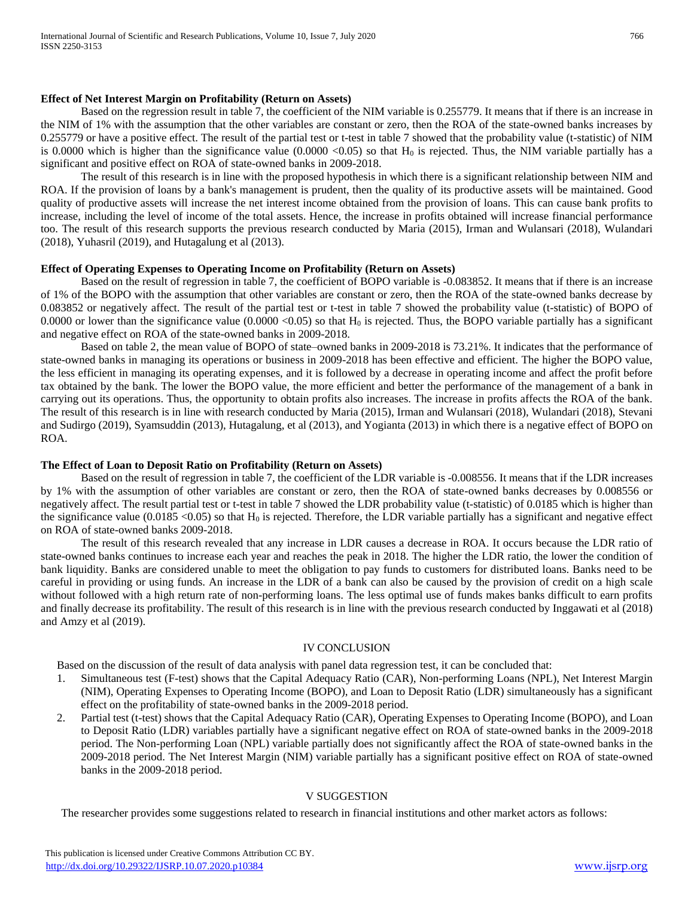#### **Effect of Net Interest Margin on Profitability (Return on Assets)**

Based on the regression result in table 7, the coefficient of the NIM variable is 0.255779. It means that if there is an increase in the NIM of 1% with the assumption that the other variables are constant or zero, then the ROA of the state-owned banks increases by 0.255779 or have a positive effect. The result of the partial test or t-test in table 7 showed that the probability value (t-statistic) of NIM is 0.0000 which is higher than the significance value  $(0.0000 \le 0.05)$  so that  $H_0$  is rejected. Thus, the NIM variable partially has a significant and positive effect on ROA of state-owned banks in 2009-2018.

The result of this research is in line with the proposed hypothesis in which there is a significant relationship between NIM and ROA. If the provision of loans by a bank's management is prudent, then the quality of its productive assets will be maintained. Good quality of productive assets will increase the net interest income obtained from the provision of loans. This can cause bank profits to increase, including the level of income of the total assets. Hence, the increase in profits obtained will increase financial performance too. The result of this research supports the previous research conducted by Maria (2015), Irman and Wulansari (2018), Wulandari (2018), Yuhasril (2019), and Hutagalung et al (2013).

#### **Effect of Operating Expenses to Operating Income on Profitability (Return on Assets)**

Based on the result of regression in table 7, the coefficient of BOPO variable is -0.083852. It means that if there is an increase of 1% of the BOPO with the assumption that other variables are constant or zero, then the ROA of the state-owned banks decrease by 0.083852 or negatively affect. The result of the partial test or t-test in table 7 showed the probability value (t-statistic) of BOPO of 0.0000 or lower than the significance value  $(0.0000 \le 0.05)$  so that  $H_0$  is rejected. Thus, the BOPO variable partially has a significant and negative effect on ROA of the state-owned banks in 2009-2018.

Based on table 2, the mean value of BOPO of state–owned banks in 2009-2018 is 73.21%. It indicates that the performance of state-owned banks in managing its operations or business in 2009-2018 has been effective and efficient. The higher the BOPO value, the less efficient in managing its operating expenses, and it is followed by a decrease in operating income and affect the profit before tax obtained by the bank. The lower the BOPO value, the more efficient and better the performance of the management of a bank in carrying out its operations. Thus, the opportunity to obtain profits also increases. The increase in profits affects the ROA of the bank. The result of this research is in line with research conducted by Maria (2015), Irman and Wulansari (2018), Wulandari (2018), Stevani and Sudirgo (2019), Syamsuddin (2013), Hutagalung, et al (2013), and Yogianta (2013) in which there is a negative effect of BOPO on ROA.

#### **The Effect of Loan to Deposit Ratio on Profitability (Return on Assets)**

Based on the result of regression in table 7, the coefficient of the LDR variable is -0.008556. It means that if the LDR increases by 1% with the assumption of other variables are constant or zero, then the ROA of state-owned banks decreases by 0.008556 or negatively affect. The result partial test or t-test in table 7 showed the LDR probability value (t-statistic) of 0.0185 which is higher than the significance value (0.0185 < 0.05) so that  $H_0$  is rejected. Therefore, the LDR variable partially has a significant and negative effect on ROA of state-owned banks 2009-2018.

The result of this research revealed that any increase in LDR causes a decrease in ROA. It occurs because the LDR ratio of state-owned banks continues to increase each year and reaches the peak in 2018. The higher the LDR ratio, the lower the condition of bank liquidity. Banks are considered unable to meet the obligation to pay funds to customers for distributed loans. Banks need to be careful in providing or using funds. An increase in the LDR of a bank can also be caused by the provision of credit on a high scale without followed with a high return rate of non-performing loans. The less optimal use of funds makes banks difficult to earn profits and finally decrease its profitability. The result of this research is in line with the previous research conducted by Inggawati et al (2018) and Amzy et al (2019).

#### IV CONCLUSION

Based on the discussion of the result of data analysis with panel data regression test, it can be concluded that:

- 1. Simultaneous test (F-test) shows that the Capital Adequacy Ratio (CAR), Non-performing Loans (NPL), Net Interest Margin (NIM), Operating Expenses to Operating Income (BOPO), and Loan to Deposit Ratio (LDR) simultaneously has a significant effect on the profitability of state-owned banks in the 2009-2018 period.
- 2. Partial test (t-test) shows that the Capital Adequacy Ratio (CAR), Operating Expenses to Operating Income (BOPO), and Loan to Deposit Ratio (LDR) variables partially have a significant negative effect on ROA of state-owned banks in the 2009-2018 period. The Non-performing Loan (NPL) variable partially does not significantly affect the ROA of state-owned banks in the 2009-2018 period. The Net Interest Margin (NIM) variable partially has a significant positive effect on ROA of state-owned banks in the 2009-2018 period.

#### V SUGGESTION

The researcher provides some suggestions related to research in financial institutions and other market actors as follows: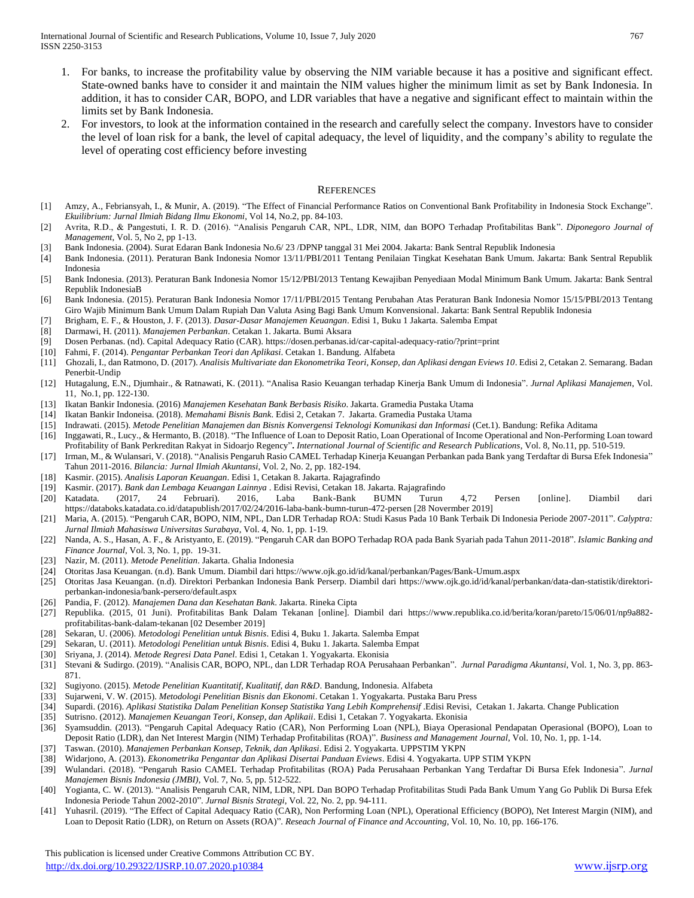- 1. For banks, to increase the profitability value by observing the NIM variable because it has a positive and significant effect. State-owned banks have to consider it and maintain the NIM values higher the minimum limit as set by Bank Indonesia. In addition, it has to consider CAR, BOPO, and LDR variables that have a negative and significant effect to maintain within the limits set by Bank Indonesia.
- 2. For investors, to look at the information contained in the research and carefully select the company. Investors have to consider the level of loan risk for a bank, the level of capital adequacy, the level of liquidity, and the company's ability to regulate the level of operating cost efficiency before investing

#### **REFERENCES**

- [1] Amzy, A., Febriansyah, I., & Munir, A. (2019). "The Effect of Financial Performance Ratios on Conventional Bank Profitability in Indonesia Stock Exchange". *Ekuilibrium: Jurnal Ilmiah Bidang Ilmu Ekonomi*, Vol 14, No.2, pp. 84-103.
- [2] Avrita, R.D., & Pangestuti, I. R. D. (2016). "Analisis Pengaruh CAR, NPL, LDR, NIM, dan BOPO Terhadap Profitabilitas Bank". *Diponegoro Journal of Management*, Vol. 5, No 2, pp 1-13.
- [3] Bank Indonesia. (2004). Surat Edaran Bank Indonesia No.6/ 23 /DPNP tanggal 31 Mei 2004. Jakarta: Bank Sentral Republik Indonesia
- [4] Bank Indonesia. (2011). Peraturan Bank Indonesia Nomor 13/11/PBI/2011 Tentang Penilaian Tingkat Kesehatan Bank Umum. Jakarta: Bank Sentral Republik Indonesia
- [5] Bank Indonesia. (2013). Peraturan Bank Indonesia Nomor 15/12/PBI/2013 Tentang Kewajiban Penyediaan Modal Minimum Bank Umum. Jakarta: Bank Sentral Republik IndonesiaB
- [6] Bank Indonesia. (2015). Peraturan Bank Indonesia Nomor 17/11/PBI/2015 Tentang Perubahan Atas Peraturan Bank Indonesia Nomor 15/15/PBI/2013 Tentang Giro Wajib Minimum Bank Umum Dalam Rupiah Dan Valuta Asing Bagi Bank Umum Konvensional. Jakarta: Bank Sentral Republik Indonesia
- [7] Brigham, E. F., & Houston, J. F. (2013). *Dasar-Dasar Manajemen Keuangan*. Edisi 1, Buku 1 Jakarta. Salemba Empat
- [8] Darmawi, H. (2011). *Manajemen Perbankan*. Cetakan 1. Jakarta. Bumi Aksara
- [9] Dosen Perbanas. (nd). Capital Adequacy Ratio (CAR)[. https://dosen.perbanas.id/car-capital-adequacy-ratio/?print=print](https://dosen.perbanas.id/car-capital-adequacy-ratio/?print=print)
- [10] Fahmi, F. (2014). *Pengantar Perbankan Teori dan Aplikasi*. Cetakan 1. Bandung. Alfabeta
- [11] Ghozali, I., dan Ratmono, D. (2017). *Analisis Multivariate dan Ekonometrika Teori, Konsep, dan Aplikasi dengan Eviews 10*. Edisi 2, Cetakan 2. Semarang. Badan Penerbit-Undip
- [12] Hutagalung, E.N., Djumhair., & Ratnawati, K. (2011). "Analisa Rasio Keuangan terhadap Kinerja Bank Umum di Indonesia". *Jurnal Aplikasi Manajemen*, Vol. 11, No.1, pp. 122-130.
- [13] Ikatan Bankir Indonesia. (2016) *Manajemen Kesehatan Bank Berbasis Risiko*. Jakarta. Gramedia Pustaka Utama
- [14] Ikatan Bankir Indoneisa. (2018). *Memahami Bisnis Bank*. Edisi 2, Cetakan 7. Jakarta. Gramedia Pustaka Utama
- [15] Indrawati. (2015). *Metode Penelitian Manajemen dan Bisnis Konvergensi Teknologi Komunikasi dan Informasi* (Cet.1). Bandung: Refika Aditama
- [16] Inggawati, R., Lucy., & Hermanto, B. (2018). ["The Influence of Loan to Deposit Ratio, Loan Operational of Income Operational and Non-Performing Loan toward](http://www.ijsrp.org/research-paper-1118.php?rp=P837955)  [Profitability of Bank Perkreditan Rakyat in Sidoarjo Regency"](http://www.ijsrp.org/research-paper-1118.php?rp=P837955)**.** *International Journal of Scientific and Research Publications*, Vol. 8, No.11, pp. 510-519.
- [17] Irman, M., & Wulansari, V. (2018). "Analisis Pengaruh Rasio CAMEL Terhadap Kinerja Keuangan Perbankan pada Bank yang Terdaftar di Bursa Efek Indonesia" Tahun 2011-2016. *Bilancia: Jurnal Ilmiah Akuntansi*, Vol. 2, No. 2, pp. 182-194.
- [18] Kasmir. (2015). *Analisis Laporan Keuangan*. Edisi 1, Cetakan 8. Jakarta. Rajagrafindo
- [19] Kasmir. (2017). *Bank dan Lembaga Keuangan Lainnya* . Edisi Revisi, Cetakan 18. Jakarta. Rajagrafindo
- [20] Katadata. (2017, 24 Februari). 2016, Laba Bank-Bank BUMN Turun 4,72 Persen [online]. Diambil dari [https://databoks.katadata.co.id/datapublish/2017/02/24/2016-laba-bank-bumn-turun-472-persen \[28](https://databoks.katadata.co.id/datapublish/2017/02/24/2016-laba-bank-bumn-turun-472-persen%20%5b28) Novermber 2019]
- [21] Maria, A. (2015). "Pengaruh CAR, BOPO, NIM, NPL, Dan LDR Terhadap ROA: Studi Kasus Pada 10 Bank Terbaik Di Indonesia Periode 2007-2011". *Calyptra: Jurnal Ilmiah Mahasiswa Universitas Surabaya*, Vol. 4, No. 1, pp. 1-19.
- [22] Nanda, A. S., Hasan, A. F., & Aristyanto, E. (2019). "Pengaruh CAR dan BOPO Terhadap ROA pada Bank Syariah pada Tahun 2011-2018". *Islamic Banking and Finance Journal*, Vol. 3, No. 1, pp. 19-31.
- [23] Nazir, M. (2011). *Metode Penelitian*. Jakarta. Ghalia Indonesia
- [24] Otoritas Jasa Keuangan. (n.d). Bank Umum. Diambil dari<https://www.ojk.go.id/id/kanal/perbankan/Pages/Bank-Umum.aspx>
- [25] Otoritas Jasa Keuangan. (n.d). Direktori Perbankan Indonesia Bank Perserp. Diambil dari [https://www.ojk.go.id/id/kanal/perbankan/data-dan-statistik/direktori](https://www.ojk.go.id/id/kanal/perbankan/data-dan-statistik/direktori-perbankan-indonesia/bank-persero/default.aspx)[perbankan-indonesia/bank-persero/default.aspx](https://www.ojk.go.id/id/kanal/perbankan/data-dan-statistik/direktori-perbankan-indonesia/bank-persero/default.aspx)
- [26] Pandia, F. (2012). *Manajemen Dana dan Kesehatan Bank*. Jakarta. Rineka Cipta
- [27] Republika. (2015, 01 Juni). Profitabilitas Bank Dalam Tekanan [online]. Diambil dari [https://www.republika.co.id/berita/koran/pareto/15/06/01/np9a882](https://www.republika.co.id/berita/koran/pareto/15/06/01/np9a882-profitabilitas-bank-dalam-tekanan%20%5b02) [profitabilitas-bank-dalam-tekanan \[02](https://www.republika.co.id/berita/koran/pareto/15/06/01/np9a882-profitabilitas-bank-dalam-tekanan%20%5b02) Desember 2019]
- [28] Sekaran, U. (2006). *Metodologi Penelitian untuk Bisnis*. Edisi 4, Buku 1. Jakarta. Salemba Empat
- [29] Sekaran, U. (2011). *Metodologi Penelitian untuk Bisnis*. Edisi 4, Buku 1. Jakarta. Salemba Empat
- [30] Sriyana, J. (2014). *Metode Regresi Data Panel*. Edisi 1, Cetakan 1. Yogyakarta. Ekonisia
- [31] Stevani & Sudirgo. (2019). "Analisis CAR, BOPO, NPL, dan LDR Terhadap ROA Perusahaan Perbankan". *Jurnal Paradigma Akuntansi*, Vol. 1, No. 3, pp. 863- 871.
- [32] Sugiyono. (2015). *Metode Penelitian Kuantitatif, Kualitatif, dan R&D*. Bandung, Indonesia. Alfabeta
- [33] Sujarweni, V. W. (2015). *Metodologi Penelitian Bisnis dan Ekonomi*. Cetakan 1. Yogyakarta. Pustaka Baru Press
- [34] Supardi. (2016). *Aplikasi Statistika Dalam Penelitian Konsep Statistika Yang Lebih Komprehensif* .Edisi Revisi, Cetakan 1. Jakarta. Change Publication
- [35] Sutrisno. (2012). *Manajemen Keuangan Teori, Konsep, dan Aplikaii*. Edisi 1, Cetakan 7. Yogyakarta. Ekonisia
- [36] Syamsuddin. (2013). "Pengaruh Capital Adequacy Ratio (CAR), Non Performing Loan (NPL), Biaya Operasional Pendapatan Operasional (BOPO), Loan to Deposit Ratio (LDR), dan Net Interest Margin (NIM) Terhadap Profitabilitas (ROA)". *Business and Management Journal*, Vol. 10, No. 1, pp. 1-14.
- [37] Taswan. (2010). *Manajemen Perbankan Konsep, Teknik, dan Aplikasi*. Edisi 2. Yogyakarta. UPPSTIM YKPN
- [38] Widarjono, A. (2013). *Ekonometrika Pengantar dan Aplikasi Disertai Panduan Eviews*. Edisi 4. Yogyakarta. UPP STIM YKPN
- [39] Wulandari. (2018). "Pengaruh Rasio CAMEL Terhadap Profitabilitas (ROA) Pada Perusahaan Perbankan Yang Terdaftar Di Bursa Efek Indonesia". *Jurnal Manajemen Bisnis Indonesia (JMBI)*, Vol. 7, No. 5, pp. 512-522.
- [40] Yogianta, C. W. (2013). "Analisis Pengaruh CAR, NIM, LDR, NPL Dan BOPO Terhadap Profitabilitas Studi Pada Bank Umum Yang Go Publik Di Bursa Efek Indonesia Periode Tahun 2002-2010". *Jurnal Bisnis Strategi*, Vol. 22, No. 2, pp. 94-111.
- [41] Yuhasril. (2019). "The Effect of Capital Adequacy Ratio (CAR), Non Performing Loan (NPL), Operational Efficiency (BOPO), Net Interest Margin (NIM), and Loan to Deposit Ratio (LDR), on Return on Assets (ROA)". *Reseach Journal of Finance and Accounting*, Vol. 10, No. 10, pp. 166-176.